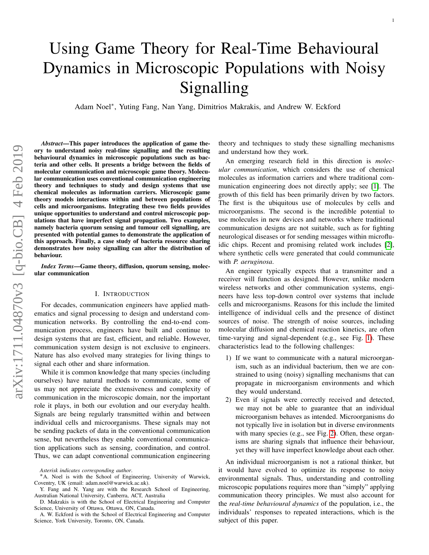# Using Game Theory for Real-Time Behavioural Dynamics in Microscopic Populations with Noisy Signalling

Adam Noel<sup>∗</sup> , Yuting Fang, Nan Yang, Dimitrios Makrakis, and Andrew W. Eckford

*Abstract*—This paper introduces the application of game theory to understand noisy real-time signalling and the resulting behavioural dynamics in microscopic populations such as bacteria and other cells. It presents a bridge between the fields of molecular communication and microscopic game theory. Molecular communication uses conventional communication engineering theory and techniques to study and design systems that use chemical molecules as information carriers. Microscopic game theory models interactions within and between populations of cells and microorganisms. Integrating these two fields provides unique opportunities to understand and control microscopic populations that have imperfect signal propagation. Two examples, namely bacteria quorum sensing and tumour cell signalling, are presented with potential games to demonstrate the application of this approach. Finally, a case study of bacteria resource sharing demonstrates how noisy signalling can alter the distribution of behaviour.

*Index Terms*—Game theory, diffusion, quorum sensing, molecular communication

#### I. INTRODUCTION

For decades, communication engineers have applied mathematics and signal processing to design and understand communication networks. By controlling the end-to-end communication process, engineers have built and continue to design systems that are fast, efficient, and reliable. However, communication system design is not exclusive to engineers. Nature has also evolved many strategies for living things to signal each other and share information.

While it is common knowledge that many species (including ourselves) have natural methods to communicate, some of us may not appreciate the extensiveness and complexity of communication in the microscopic domain, nor the important role it plays, in both our evolution and our everyday health. Signals are being regularly transmitted within and between individual cells and microorganisms. These signals may not be sending packets of data in the conventional communication sense, but nevertheless they enable conventional communication applications such as sensing, coordination, and control. Thus, we can adapt conventional communication engineering

A. W. Eckford is with the School of Electrical Engineering and Computer Science, York University, Toronto, ON, Canada.

theory and techniques to study these signalling mechanisms and understand how they work.

An emerging research field in this direction is *molecular communication*, which considers the use of chemical molecules as information carriers and where traditional communication engineering does not directly apply; see [\[1\]](#page-9-0). The growth of this field has been primarily driven by two factors. The first is the ubiquitous use of molecules by cells and microorganisms. The second is the incredible potential to use molecules in new devices and networks where traditional communication designs are not suitable, such as for fighting neurological diseases or for sending messages within microfluidic chips. Recent and promising related work includes [\[2\]](#page-9-1), where synthetic cells were generated that could communicate with *P. aeruginosa*.

An engineer typically expects that a transmitter and a receiver will function as designed. However, unlike modern wireless networks and other communication systems, engineers have less top-down control over systems that include cells and microorganisms. Reasons for this include the limited intelligence of individual cells and the presence of distinct sources of noise. The strength of noise sources, including molecular diffusion and chemical reaction kinetics, are often time-varying and signal-dependent (e.g., see Fig. [1\)](#page-1-0). These characteristics lead to the following challenges:

- 1) If we want to communicate with a natural microorganism, such as an individual bacterium, then we are constrained to using (noisy) signalling mechanisms that can propagate in microorganism environments and which they would understand.
- 2) Even if signals were correctly received and detected, we may not be able to guarantee that an individual microorganism behaves as intended. Microorganisms do not typically live in isolation but in diverse environments with many species (e.g., see Fig. [2\)](#page-1-1). Often, these organisms are sharing signals that influence their behaviour, yet they will have imperfect knowledge about each other.

An individual microorganism is not a rational thinker, but it would have evolved to optimize its response to noisy environmental signals. Thus, understanding and controlling microscopic populations requires more than "simply" applying communication theory principles. We must also account for the *real-time behavioural dynamics* of the population, i.e., the individuals' responses to repeated interactions, which is the subject of this paper.

*Asterisk indicates corresponding author*.

<sup>∗</sup>A. Noel is with the School of Engineering, University of Warwick, Coventry, UK (email: adam.noel@warwick.ac.uk).

Y. Fang and N. Yang are with the Research School of Engineering, Australian National University, Canberra, ACT, Australia

D. Makrakis is with the School of Electrical Engineering and Computer Science, University of Ottawa, Ottawa, ON, Canada.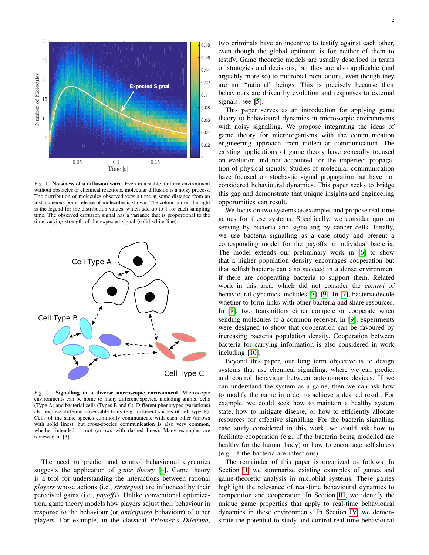

<span id="page-1-0"></span>Fig. 1. Noisiness of a diffusion wave. Even in a stable uniform environment without obstacles or chemical reactions, molecular diffusion is a noisy process. The distribution of molecules observed versus time at some distance from an instantaneous point release of molecules is shown. The colour bar on the right is the legend for the distribution values, which add up to 1 for each sampling time. The observed diffusion signal has a variance that is proportional to the time-varying strength of the expected signal (solid white line).



<span id="page-1-1"></span>Fig. 2. Signalling in a diverse microscopic environment. Microscopic environments can be home to many different species, including animal cells (Type A) and bacterial cells (Types B and C). Different phenotypes (variations) also express different observable traits (e.g., different shades of cell type B). Cells of the same species commonly communicate with each other (arrows with solid lines), but cross-species communication is also very common, whether intended or not (arrows with dashed lines). Many examples are reviewed in [\[3\]](#page-9-2).

The need to predict and control behavioural dynamics suggests the application of *game theory* [\[4\]](#page-9-3). Game theory is a tool for understanding the interactions between rational *players* whose actions (i.e., *strategies*) are influenced by their perceived gains (i.e., *payoffs*). Unlike conventional optimization, game theory models how players adjust their behaviour in response to the behaviour (or *anticipated* behaviour) of other players. For example, in the classical *Prisoner's Dilemma*, two criminals have an incentive to testify against each other, even though the global optimum is for neither of them to testify. Game theoretic models are usually described in terms of strategies and decisions, but they are also applicable (and arguably more so) to microbial populations, even though they are not "rational" beings. This is precisely because their behaviours are driven by evolution and responses to external signals; see [\[5\]](#page-9-4).

This paper serves as an introduction for applying game theory to behavioural dynamics in microscopic environments with noisy signalling. We propose integrating the ideas of game theory for microorganisms with the communication engineering approach from molecular communication. The existing applications of game theory have generally focused on evolution and not accounted for the imperfect propagation of physical signals. Studies of molecular communication have focused on stochastic signal propagation but have not considered behavioural dynamics. This paper seeks to bridge this gap and demonstrate that unique insights and engineering opportunities can result.

We focus on two systems as examples and propose real-time games for these systems. Specifically, we consider quorum sensing by bacteria and signalling by cancer cells. Finally, we use bacteria signalling as a case study and present a corresponding model for the payoffs to individual bacteria. The model extends our preliminary work in [\[6\]](#page-9-5) to show that a higher population density encourages cooperation but that selfish bacteria can also succeed in a dense environment if there are cooperating bacteria to support them. Related work in this area, which did not consider the *control* of behavioural dynamics, includes [\[7\]](#page-9-6)–[\[9\]](#page-9-7). In [\[7\]](#page-9-6), bacteria decide whether to form links with other bacteria and share resources. In [\[8\]](#page-9-8), two transmitters either compete or cooperate when sending molecules to a common receiver. In [\[9\]](#page-9-7), experiments were designed to show that cooperation can be favoured by increasing bacteria population density. Cooperation between bacteria for carrying information is also considered in work including [\[10\]](#page-9-9).

Beyond this paper, our long term objective is to design systems that use chemical signalling, where we can predict and control behaviour between autonomous devices. If we can understand the system as a game, then we can ask how to modify the game in order to achieve a desired result. For example, we could seek how to maintain a healthy system state, how to mitigate disease, or how to efficiently allocate resources for effective signalling. For the bacteria signalling case study considered in this work, we could ask how to facilitate cooperation (e.g., if the bacteria being modelled are healthy for the human body) or how to encourage selfishness (e.g., if the bacteria are infectious).

The remainder of this paper is organized as follows. In Section [II,](#page-2-0) we summarize existing examples of games and game-theoretic analysis in microbial systems. These games highlight the relevance of real-time behavioural dynamics to competition and cooperation. In Section [III,](#page-2-1) we identify the unique game properties that apply to real-time behavioural dynamics in these environments. In Section [IV,](#page-3-0) we demonstrate the potential to study and control real-time behavioural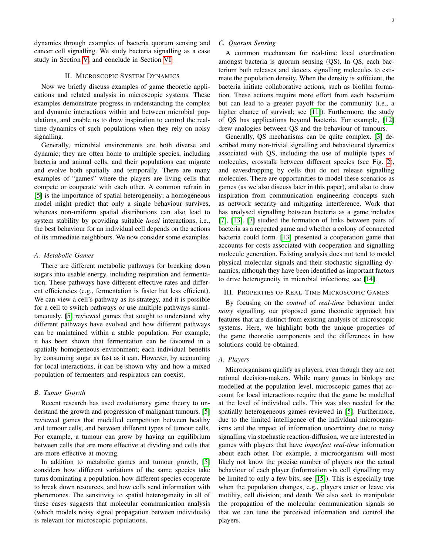dynamics through examples of bacteria quorum sensing and cancer cell signalling. We study bacteria signalling as a case study in Section [V,](#page-5-0) and conclude in Section [VI.](#page-7-0)

# II. MICROSCOPIC SYSTEM DYNAMICS

<span id="page-2-0"></span>Now we briefly discuss examples of game theoretic applications and related analysis in microscopic systems. These examples demonstrate progress in understanding the complex and dynamic interactions within and between microbial populations, and enable us to draw inspiration to control the realtime dynamics of such populations when they rely on noisy signalling.

Generally, microbial environments are both diverse and dynamic; they are often home to multiple species, including bacteria and animal cells, and their populations can migrate and evolve both spatially and temporally. There are many examples of "games" where the players are living cells that compete or cooperate with each other. A common refrain in [\[5\]](#page-9-4) is the importance of spatial heterogeneity; a homogeneous model might predict that only a single behaviour survives, whereas non-uniform spatial distributions can also lead to system stability by providing suitable *local* interactions, i.e., the best behaviour for an individual cell depends on the actions of its immediate neighbours. We now consider some examples.

#### *A. Metabolic Games*

There are different metabolic pathways for breaking down sugars into usable energy, including respiration and fermentation. These pathways have different effective rates and different efficiencies (e.g., fermentation is faster but less efficient). We can view a cell's pathway as its strategy, and it is possible for a cell to switch pathways or use multiple pathways simultaneously. [\[5\]](#page-9-4) reviewed games that sought to understand why different pathways have evolved and how different pathways can be maintained within a stable population. For example, it has been shown that fermentation can be favoured in a spatially homogeneous environment; each individual benefits by consuming sugar as fast as it can. However, by accounting for local interactions, it can be shown why and how a mixed population of fermenters and respirators can coexist.

#### *B. Tumor Growth*

Recent research has used evolutionary game theory to understand the growth and progression of malignant tumours. [\[5\]](#page-9-4) reviewed games that modelled competition between healthy and tumour cells, and between different types of tumour cells. For example, a tumour can grow by having an equilibrium between cells that are more effective at dividing and cells that are more effective at moving.

In addition to metabolic games and tumour growth, [\[5\]](#page-9-4) considers how different variations of the same species take turns dominating a population, how different species cooperate to break down resources, and how cells send information with pheromones. The sensitivity to spatial heterogeneity in all of these cases suggests that molecular communication analysis (which models noisy signal propagation between individuals) is relevant for microscopic populations.

## *C. Quorum Sensing*

A common mechanism for real-time local coordination amongst bacteria is quorum sensing (QS). In QS, each bacterium both releases and detects signalling molecules to estimate the population density. When the density is sufficient, the bacteria initiate collaborative actions, such as biofilm formation. These actions require more effort from each bacterium but can lead to a greater payoff for the community (i.e., a higher chance of survival; see [\[11\]](#page-9-10)). Furthermore, the study of QS has applications beyond bacteria. For example, [\[12\]](#page-9-11) drew analogies between QS and the behaviour of tumours.

Generally, QS mechanisms can be quite complex. [\[3\]](#page-9-2) described many non-trivial signalling and behavioural dynamics associated with QS, including the use of multiple types of molecules, crosstalk between different species (see Fig. [2\)](#page-1-1), and eavesdropping by cells that do not release signalling molecules. There are opportunities to model these scenarios as games (as we also discuss later in this paper), and also to draw inspiration from communication engineering concepts such as network security and mitigating interference. Work that has analysed signalling between bacteria as a game includes [\[7\]](#page-9-6), [\[13\]](#page-9-12). [\[7\]](#page-9-6) studied the formation of links between pairs of bacteria as a repeated game and whether a colony of connected bacteria could form. [\[13\]](#page-9-12) presented a cooperation game that accounts for costs associated with cooperation and signalling molecule generation. Existing analysis does not tend to model physical molecular signals and their stochastic signalling dynamics, although they have been identified as important factors to drive heterogeneity in microbial infections; see [\[14\]](#page-9-13).

#### <span id="page-2-1"></span>III. PROPERTIES OF REAL-TIME MICROSCOPIC GAMES

By focusing on the *control* of *real-time* behaviour under *noisy* signalling, our proposed game theoretic approach has features that are distinct from existing analysis of microscopic systems. Here, we highlight both the unique properties of the game theoretic components and the differences in how solutions could be obtained.

# *A. Players*

Microorganisms qualify as players, even though they are not rational decision-makers. While many games in biology are modelled at the population level, microscopic games that account for local interactions require that the game be modelled at the level of individual cells. This was also needed for the spatially heterogeneous games reviewed in [\[5\]](#page-9-4). Furthermore, due to the limited intelligence of the individual microorganisms and the impact of information uncertainty due to noisy signalling via stochastic reaction-diffusion, we are interested in games with players that have *imperfect real-time* information about each other. For example, a microorganism will most likely not know the precise number of players nor the actual behaviour of each player (information via cell signalling may be limited to only a few bits; see [\[15\]](#page-9-14)). This is especially true when the population changes, e.g., players enter or leave via motility, cell division, and death. We also seek to manipulate the propagation of the molecular communication signals so that we can tune the perceived information and control the players.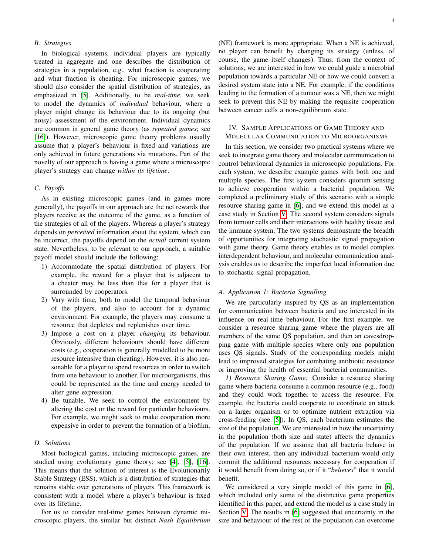# *B. Strategies*

In biological systems, individual players are typically treated in aggregate and one describes the distribution of strategies in a population, e.g., what fraction is cooperating and what fraction is cheating. For microscopic games, we should also consider the spatial distribution of strategies, as emphasized in [\[5\]](#page-9-4). Additionally, to be *real-time*, we seek to model the dynamics of *individual* behaviour, where a player might change its behaviour due to its ongoing (but noisy) assessment of the environment. Individual dynamics are common in general game theory (as *repeated games*; see [\[16\]](#page-9-15)). However, microscopic game theory problems usually assume that a player's behaviour is fixed and variations are only achieved in future generations via mutations. Part of the novelty of our approach is having a game where a microscopic player's strategy can change *within its lifetime*.

#### *C. Payoffs*

As in existing microscopic games (and in games more generally), the payoffs in our approach are the net rewards that players receive as the outcome of the game, as a function of the strategies of all of the players. Whereas a player's strategy depends on *perceived* information about the system, which can be incorrect, the payoffs depend on the *actual* current system state. Nevertheless, to be relevant to our approach, a suitable payoff model should include the following:

- 1) Accommodate the spatial distribution of players. For example, the reward for a player that is adjacent to a cheater may be less than that for a player that is surrounded by cooperators.
- 2) Vary with time, both to model the temporal behaviour of the players, and also to account for a dynamic environment. For example, the players may consume a resource that depletes and replenishes over time.
- 3) Impose a cost on a player *changing* its behaviour. Obviously, different behaviours should have different costs (e.g., cooperation is generally modelled to be more resource intensive than cheating). However, it is also reasonable for a player to spend resources in order to switch from one behaviour to another. For microorganisms, this could be represented as the time and energy needed to alter gene expression.
- 4) Be tunable. We seek to control the environment by altering the cost or the reward for particular behaviours. For example, we might seek to make cooperation more expensive in order to prevent the formation of a biofilm.

#### *D. Solutions*

Most biological games, including microscopic games, are studied using evolutionary game theory; see [\[4\]](#page-9-3), [\[5\]](#page-9-4), [\[16\]](#page-9-15). This means that the solution of interest is the Evolutionarily Stable Strategy (ESS), which is a distribution of strategies that remains stable over generations of players. This framework is consistent with a model where a player's behaviour is fixed over its lifetime.

For us to consider real-time games between dynamic microscopic players, the similar but distinct *Nash Equilibrium* (NE) framework is more appropriate. When a NE is achieved, no player can benefit by changing its strategy (unless, of course, the game itself changes). Thus, from the context of solutions, we are interested in how we could guide a microbial population towards a particular NE or how we could convert a desired system state into a NE. For example, if the conditions leading to the formation of a tumour was a NE, then we might seek to prevent this NE by making the requisite cooperation between cancer cells a non-equilibrium state.

## <span id="page-3-0"></span>IV. SAMPLE APPLICATIONS OF GAME THEORY AND MOLECULAR COMMUNICATION TO MICROORGANISMS

In this section, we consider two practical systems where we seek to integrate game theory and molecular communication to control behavioural dynamics in microscopic populations. For each system, we describe example games with both one and multiple species. The first system considers quorum sensing to achieve cooperation within a bacterial population. We completed a preliminary study of this scenario with a simple resource sharing game in [\[6\]](#page-9-5), and we extend this model as a case study in Section [V.](#page-5-0) The second system considers signals from tumour cells and their interactions with healthy tissue and the immune system. The two systems demonstrate the breadth of opportunities for integrating stochastic signal propagation with game theory. Game theory enables us to model complex interdependent behaviour, and molecular communication analysis enables us to describe the imperfect local information due to stochastic signal propagation.

## *A. Application 1: Bacteria Signalling*

We are particularly inspired by QS as an implementation for communication between bacteria and are interested in its influence on real-time behaviour. For the first example, we consider a resource sharing game where the players are all members of the same QS population, and then an eavesdropping game with multiple species where only one population uses QS signals. Study of the corresponding models might lead to improved strategies for combating antibiotic resistance or improving the health of essential bacterial communities.

*1) Resource Sharing Game:* Consider a resource sharing game where bacteria consume a common resource (e.g., food) and they could work together to access the resource. For example, the bacteria could cooperate to coordinate an attack on a larger organism or to optimize nutrient extraction via cross-feeding (see [\[5\]](#page-9-4)). In QS, each bacterium estimates the size of the population. We are interested in how the uncertainty in the population (both size and state) affects the dynamics of the population. If we assume that all bacteria behave in their own interest, then any individual bacterium would only commit the additional resources necessary for cooperation if it would benefit from doing so, or if it "*believes*" that it would benefit.

We considered a very simple model of this game in [\[6\]](#page-9-5), which included only some of the distinctive game properties identified in this paper, and extend the model as a case study in Section [V.](#page-5-0) The results in [\[6\]](#page-9-5) suggested that uncertainty in the size and behaviour of the rest of the population can overcome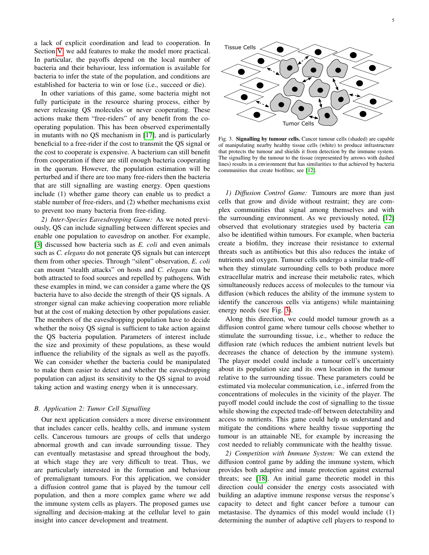a lack of explicit coordination and lead to cooperation. In Section [V,](#page-5-0) we add features to make the model more practical. In particular, the payoffs depend on the local number of bacteria and their behaviour, less information is available for bacteria to infer the state of the population, and conditions are established for bacteria to win or lose (i.e., succeed or die).

In other variations of this game, some bacteria might not fully participate in the resource sharing process, either by never releasing QS molecules or never cooperating. These actions make them "free-riders" of any benefit from the cooperating population. This has been observed experimentally in mutants with no QS mechanism in [\[17\]](#page-9-16), and is particularly beneficial to a free-rider if the cost to transmit the QS signal or the cost to cooperate is expensive. A bacterium can still benefit from cooperation if there are still enough bacteria cooperating in the quorum. However, the population estimation will be perturbed and if there are too many free-riders then the bacteria that are still signalling are wasting energy. Open questions include (1) whether game theory can enable us to predict a stable number of free-riders, and (2) whether mechanisms exist to prevent too many bacteria from free-riding.

*2) Inter-Species Eavesdropping Game:* As we noted previously, QS can include signalling between different species and enable one population to eavesdrop on another. For example, [\[3\]](#page-9-2) discussed how bacteria such as *E. coli* and even animals such as *C. elegans* do not generate QS signals but can intercept them from other species. Through "silent" observation, *E. coli* can mount "stealth attacks" on hosts and *C. elegans* can be both attracted to food sources and repelled by pathogens. With these examples in mind, we can consider a game where the QS bacteria have to also decide the strength of their QS signals. A stronger signal can make achieving cooperation more reliable but at the cost of making detection by other populations easier. The members of the eavesdropping population have to decide whether the noisy QS signal is sufficient to take action against the QS bacteria population. Parameters of interest include the size and proximity of these populations, as these would influence the reliability of the signals as well as the payoffs. We can consider whether the bacteria could be manipulated to make them easier to detect and whether the eavesdropping population can adjust its sensitivity to the QS signal to avoid taking action and wasting energy when it is unnecessary. operating copulation. This has been observed specifically the member of the case of the case of the case of the case of the case of the case of the case of the case of the case of the case of the case of the case of the c

#### *B. Application 2: Tumor Cell Signalling*

Our next application considers a more diverse environment that includes cancer cells, healthy cells, and immune system cells. Cancerous tumours are groups of cells that undergo abnormal growth and can invade surrounding tissue. They can eventually metastasise and spread throughout the body, at which stage they are very difficult to treat. Thus, we are particularly interested in the formation and behaviour of premalignant tumours. For this application, we consider a diffusion control game that is played by the tumour cell population, and then a more complex game where we add the immune system cells as players. The proposed games use signalling and decision-making at the cellular level to gain



<span id="page-4-0"></span>Fig. 3. Signalling by tumour cells. Cancer tumour cells (shaded) are capable of manipulating nearby healthy tissue cells (white) to produce infrastructure that protects the tumour and shields it from detection by the immune system. The signalling by the tumour to the tissue (represented by arrows with dashed lines) results in a environment that has similarities to that achieved by bacteria communities that create biofilms; see [\[12\]](#page-9-11).

*1) Diffusion Control Game:* Tumours are more than just cells that grow and divide without restraint; they are complex communities that signal among themselves and with the surrounding environment. As we previously noted, [\[12\]](#page-9-11) observed that evolutionary strategies used by bacteria can also be identified within tumours. For example, when bacteria create a biofilm, they increase their resistance to external threats such as antibiotics but this also reduces the intake of nutrients and oxygen. Tumour cells undergo a similar trade-off when they stimulate surrounding cells to both produce more extracellular matrix and increase their metabolic rates, which simultaneously reduces access of molecules to the tumour via diffusion (which reduces the ability of the immune system to identify the cancerous cells via antigens) while maintaining energy needs (see Fig. [3\)](#page-4-0).

Along this direction, we could model tumour growth as a diffusion control game where tumour cells choose whether to stimulate the surrounding tissue, i.e., whether to reduce the diffusion rate (which reduces the ambient nutrient levels but decreases the chance of detection by the immune system). The player model could include a tumour cell's uncertainty about its population size and its own location in the tumour relative to the surrounding tissue. These parameters could be estimated via molecular communication, i.e., inferred from the concentrations of molecules in the vicinity of the player. The payoff model could include the cost of signalling to the tissue while showing the expected trade-off between detectability and access to nutrients. This game could help us understand and mitigate the conditions where healthy tissue supporting the tumour is an attainable NE, for example by increasing the cost needed to reliably communicate with the healthy tissue.

*2) Competition with Immune System:* We can extend the diffusion control game by adding the immune system, which provides both adaptive and innate protection against external threats; see [\[18\]](#page-9-17). An initial game theoretic model in this direction could consider the energy costs associated with building an adaptive immune response versus the response's capacity to detect and fight cancer before a tumour can metastasise. The dynamics of this model would include (1) determining the number of adaptive cell players to respond to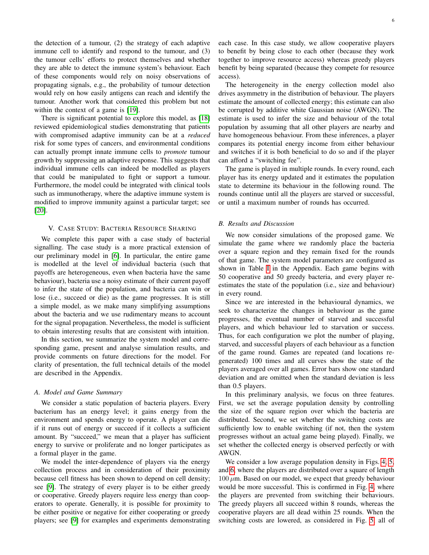the detection of a tumour, (2) the strategy of each adaptive immune cell to identify and respond to the tumour, and (3) the tumour cells' efforts to protect themselves and whether they are able to detect the immune system's behaviour. Each of these components would rely on noisy observations of propagating signals, e.g., the probability of tumour detection would rely on how easily antigens can reach and identify the tumour. Another work that considered this problem but not within the context of a game is [\[19\]](#page-9-18).

There is significant potential to explore this model, as [\[18\]](#page-9-17) reviewed epidemiological studies demonstrating that patients with compromised adaptive immunity can be at a *reduced* risk for some types of cancers, and environmental conditions can actually prompt innate immune cells to *promote* tumour growth by suppressing an adaptive response. This suggests that individual immune cells can indeed be modelled as players that could be manipulated to fight or support a tumour. Furthermore, the model could be integrated with clinical tools such as immunotherapy, where the adaptive immune system is modified to improve immunity against a particular target; see [\[20\]](#page-9-19).

#### V. CASE STUDY: BACTERIA RESOURCE SHARING

<span id="page-5-0"></span>We complete this paper with a case study of bacterial signalling. The case study is a more practical extension of our preliminary model in [\[6\]](#page-9-5). In particular, the entire game is modelled at the level of individual bacteria (such that payoffs are heterogeneous, even when bacteria have the same behaviour), bacteria use a noisy estimate of their current payoff to infer the state of the population, and bacteria can win or lose (i.e., succeed or die) as the game progresses. It is still a simple model, as we make many simplifying assumptions about the bacteria and we use rudimentary means to account for the signal propagation. Nevertheless, the model is sufficient to obtain interesting results that are consistent with intuition.

In this section, we summarize the system model and corresponding game, present and analyse simulation results, and provide comments on future directions for the model. For clarity of presentation, the full technical details of the model are described in the Appendix.

#### *A. Model and Game Summary*

We consider a static population of bacteria players. Every bacterium has an energy level; it gains energy from the environment and spends energy to operate. A player can die if it runs out of energy or succeed if it collects a sufficient amount. By "succeed," we mean that a player has sufficient energy to survive or proliferate and no longer participates as a formal player in the game.

We model the inter-dependence of players via the energy collection process and in consideration of their proximity because cell fitness has been shown to depend on cell density; see [\[9\]](#page-9-7). The strategy of every player is to be either greedy or cooperative. Greedy players require less energy than cooperators to operate. Generally, it is possible for proximity to be either positive or negative for either cooperating or greedy players; see [\[9\]](#page-9-7) for examples and experiments demonstrating each case. In this case study, we allow cooperative players to benefit by being close to each other (because they work together to improve resource access) whereas greedy players benefit by being separated (because they compete for resource access).

The heterogeneity in the energy collection model also drives asymmetry in the distribution of behaviour. The players estimate the amount of collected energy; this estimate can also be corrupted by additive white Gaussian noise (AWGN). The estimate is used to infer the size and behaviour of the total population by assuming that all other players are nearby and have homogeneous behaviour. From these inferences, a player compares its potential energy income from either behaviour and switches if it is both beneficial to do so and if the player can afford a "switching fee".

The game is played in multiple rounds. In every round, each player has its energy updated and it estimates the population state to determine its behaviour in the following round. The rounds continue until all the players are starved or successful, or until a maximum number of rounds has occurred.

#### *B. Results and Discussion*

We now consider simulations of the proposed game. We simulate the game where we randomly place the bacteria over a square region and they remain fixed for the rounds of that game. The system model parameters are configured as shown in Table [I](#page-8-0) in the Appendix. Each game begins with 50 cooperative and 50 greedy bacteria, and every player reestimates the state of the population (i.e., size and behaviour) in every round.

Since we are interested in the behavioural dynamics, we seek to characterize the changes in behaviour as the game progresses, the eventual number of starved and successful players, and which behaviour led to starvation or success. Thus, for each configuration we plot the number of playing, starved, and successful players of each behaviour as a function of the game round. Games are repeated (and locations regenerated) 100 times and all curves show the state of the players averaged over all games. Error bars show one standard deviation and are omitted when the standard deviation is less than 0.5 players.

In this preliminary analysis, we focus on three features. First, we set the average population density by controlling the size of the square region over which the bacteria are distributed. Second, we set whether the switching costs are sufficiently low to enable switching (if not, then the system progresses without an actual game being played). Finally, we set whether the collected energy is observed perfectly or with AWGN.

We consider a low average population density in Figs. [4,](#page-6-0) [5,](#page-6-1) and [6,](#page-6-2) where the players are distributed over a square of length  $100 \mu$ m. Based on our model, we expect that greedy behaviour would be more successful. This is confirmed in Fig. [4,](#page-6-0) where the players are prevented from switching their behaviours. The greedy players all succeed within 8 rounds, whereas the cooperative players are all dead within 25 rounds. When the switching costs are lowered, as considered in Fig. [5,](#page-6-1) all of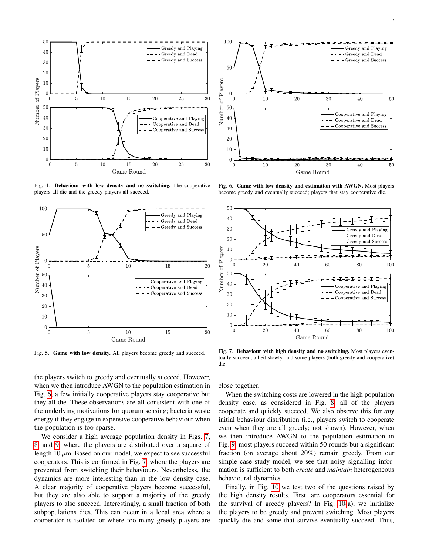

<span id="page-6-0"></span>Fig. 4. Behaviour with low density and no switching. The cooperative players all die and the greedy players all succeed.



<span id="page-6-1"></span>Fig. 5. Game with low density. All players become greedy and succeed.

the players switch to greedy and eventually succeed. However, when we then introduce AWGN to the population estimation in Fig. [6,](#page-6-2) a few initially cooperative players stay cooperative but they all die. These observations are all consistent with one of the underlying motivations for quorum sensing; bacteria waste energy if they engage in expensive cooperative behaviour when the population is too sparse.

We consider a high average population density in Figs. [7,](#page-6-3) [8,](#page-7-1) and [9,](#page-7-2) where the players are distributed over a square of length  $10 \mu$ m. Based on our model, we expect to see successful cooperators. This is confirmed in Fig. [7,](#page-6-3) where the players are prevented from switching their behaviours. Nevertheless, the dynamics are more interesting than in the low density case. A clear majority of cooperative players become successful, but they are also able to support a majority of the greedy players to also succeed. Interestingly, a small fraction of both subpopulations dies. This can occur in a local area where a cooperator is isolated or where too many greedy players are



<span id="page-6-2"></span>Fig. 6. Game with low density and estimation with AWGN. Most players become greedy and eventually succeed; players that stay cooperative die.



<span id="page-6-3"></span>Fig. 7. Behaviour with high density and no switching. Most players eventually succeed, albeit slowly, and some players (both greedy and cooperative) die.

close together.

When the switching costs are lowered in the high population density case, as considered in Fig. [8,](#page-7-1) all of the players cooperate and quickly succeed. We also observe this for *any* initial behaviour distribution (i.e., players switch to cooperate even when they are all greedy; not shown). However, when we then introduce AWGN to the population estimation in Fig. [9,](#page-7-2) most players succeed within 50 rounds but a significant fraction (on average about 20%) remain greedy. From our simple case study model, we see that noisy signalling information is sufficient to both *create* and *maintain* heterogeneous behavioural dynamics.

Finally, in Fig. [10](#page-7-3) we test two of the questions raised by the high density results. First, are cooperators essential for the survival of greedy players? In Fig. [10\(](#page-7-3)a), we initialize the players to be greedy and prevent switching. Most players quickly die and some that survive eventually succeed. Thus,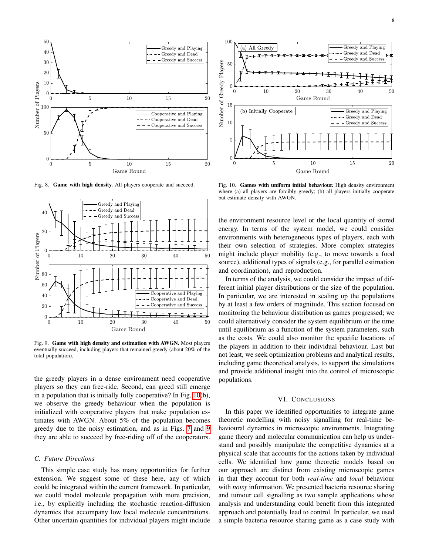

<span id="page-7-1"></span>Fig. 8. Game with high density. All players cooperate and succeed.



<span id="page-7-2"></span>Fig. 9. Game with high density and estimation with AWGN. Most players eventually succeed, including players that remained greedy (about 20% of the total population).

the greedy players in a dense environment need cooperative players so they can free-ride. Second, can greed still emerge in a population that is initially fully cooperative? In Fig. [10\(](#page-7-3)b), we observe the greedy behaviour when the population is initialized with cooperative players that make population estimates with AWGN. About 5% of the population becomes greedy due to the noisy estimation, and as in Figs. [7](#page-6-3) and [9](#page-7-2) they are able to succeed by free-riding off of the cooperators.

# *C. Future Directions*

This simple case study has many opportunities for further extension. We suggest some of these here, any of which could be integrated within the current framework. In particular, we could model molecule propagation with more precision, i.e., by explicitly including the stochastic reaction-diffusion dynamics that accompany low local molecule concentrations. Other uncertain quantities for individual players might include



<span id="page-7-3"></span>Fig. 10. Games with uniform initial behaviour. High density environment where (a) all players are forcibly greedy; (b) all players initially cooperate but estimate density with AWGN.

the environment resource level or the local quantity of stored energy. In terms of the system model, we could consider environments with heterogeneous types of players, each with their own selection of strategies. More complex strategies might include player mobility (e.g., to move towards a food source), additional types of signals (e.g., for parallel estimation and coordination), and reproduction.

In terms of the analysis, we could consider the impact of different initial player distributions or the size of the population. In particular, we are interested in scaling up the populations by at least a few orders of magnitude. This section focused on monitoring the behaviour distribution as games progressed; we could alternatively consider the system equilibrium or the time until equilibrium as a function of the system parameters, such as the costs. We could also monitor the specific locations of the players in addition to their individual behaviour. Last but not least, we seek optimization problems and analytical results, including game theoretical analysis, to support the simulations and provide additional insight into the control of microscopic populations.

## VI. CONCLUSIONS

<span id="page-7-0"></span>In this paper we identified opportunities to integrate game theoretic modelling with noisy signalling for real-time behavioural dynamics in microscopic environments. Integrating game theory and molecular communication can help us understand and possibly manipulate the competitive dynamics at a physical scale that accounts for the actions taken by individual cells. We identified how game theoretic models based on our approach are distinct from existing microscopic games in that they account for both *real-time* and *local* behaviour with *noisy* information. We presented bacteria resource sharing and tumour cell signalling as two sample applications whose analysis and understanding could benefit from this integrated approach and potentially lead to control. In particular, we used a simple bacteria resource sharing game as a case study with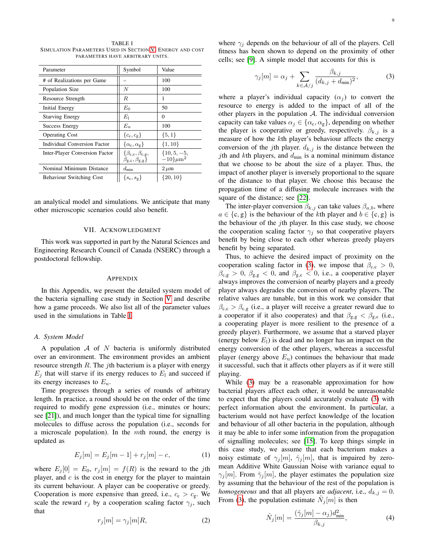<span id="page-8-0"></span>TABLE I SIMULATION PARAMETERS USED IN SECTION [V.](#page-5-0) ENERGY AND COST PARAMETERS HAVE ARBITRARY UNITS.

| Parameter                           | Symbol                                                              | Value                                        |
|-------------------------------------|---------------------------------------------------------------------|----------------------------------------------|
| # of Realizations per Game          |                                                                     | 100                                          |
| Population Size                     | N                                                                   | 100                                          |
| Resource Strength                   | R.                                                                  | 1                                            |
| Initial Energy                      | $E_0$                                                               | 50                                           |
| <b>Starving Energy</b>              | $E_1$                                                               | 0                                            |
| Success Energy                      | $E_{\rm u}$                                                         | 100                                          |
| <b>Operating Cost</b>               | $\{c_{\rm c},c_{\rm g}\}$                                           | $\{5,1\}$                                    |
| <b>Individual Conversion Factor</b> | $\{\alpha_{\rm c},\alpha_{\rm g}\}\$                                | $\{1, 10\}$                                  |
| Inter-Player Conversion Factor      | $\{\beta_{c,c}, \beta_{c,g},$<br>$\beta_{\rm g,c}, \beta_{\rm g,g}$ | $\{10, 5, -5,$<br>$-10$ $\mu$ m <sup>2</sup> |
| Nominal Minimum Distance            | $d_{\min}$                                                          | $2 \mu m$                                    |
| <b>Behaviour Switching Cost</b>     | $\{s_{\rm c},s_{\rm g}\}\$                                          | $\{20, 10\}$                                 |

an analytical model and simulations. We anticipate that many other microscopic scenarios could also benefit.

#### VII. ACKNOWLEDGMENT

This work was supported in part by the Natural Sciences and Engineering Research Council of Canada (NSERC) through a postdoctoral fellowship.

#### APPENDIX

In this Appendix, we present the detailed system model of the bacteria signalling case study in Section [V](#page-5-0) and describe how a game proceeds. We also list all of the parameter values used in the simulations in Table [I.](#page-8-0)

## *A. System Model*

A population  $A$  of  $N$  bacteria is uniformly distributed over an environment. The environment provides an ambient resource strength  $R$ . The *j*th bacterium is a player with energy  $E_j$  that will starve if its energy reduces to  $E_1$  and succeed if its energy increases to  $E_{\rm u}$ .

Time progresses through a series of rounds of arbitrary length. In practice, a round should be on the order of the time required to modify gene expression (i.e., minutes or hours; see [\[21\]](#page-9-20)), and much longer than the typical time for signalling molecules to diffuse across the population (i.e., seconds for a microscale population). In the  $m$ th round, the energy is updated as

<span id="page-8-2"></span>
$$
E_j[m] = E_j[m-1] + r_j[m] - c,\t(1)
$$

where  $E_j[0] = E_0$ ,  $r_j[m] = f(R)$  is the reward to the jth player, and  $c$  is the cost in energy for the player to maintain its current behaviour. A player can be cooperative or greedy. Cooperation is more expensive than greed, i.e.,  $c_c > c_g$ . We scale the reward  $r_j$  by a cooperation scaling factor  $\gamma_j$ , such that

$$
r_j[m] = \gamma_j[m]R,\tag{2}
$$

where  $\gamma_i$  depends on the behaviour of all of the players. Cell fitness has been shown to depend on the proximity of other cells; see [\[9\]](#page-9-7). A simple model that accounts for this is

<span id="page-8-1"></span>
$$
\gamma_j[m] = \alpha_j + \sum_{k \in \mathcal{A}/j} \frac{\beta_{k,j}}{(d_{k,j} + d_{\min})^2},\tag{3}
$$

where a player's individual capacity  $(\alpha_i)$  to convert the resource to energy is added to the impact of all of the other players in the population  $A$ . The individual conversion capacity can take values  $\alpha_j \in \{\alpha_{\rm c}, \alpha_{\rm g}\}\,$ , depending on whether the player is cooperative or greedy, respectively.  $\beta_{k,j}$  is a measure of how the kth player's behaviour affects the energy conversion of the jth player.  $d_{k,j}$  is the distance between the *j*th and *k*th players, and  $d_{\text{min}}$  is a nominal minimum distance that we choose to be about the size of a player. Thus, the impact of another player is inversely proportional to the square of the distance to that player. We choose this because the propagation time of a diffusing molecule increases with the square of the distance; see [\[22\]](#page-9-21).

The inter-player conversion  $\beta_{k,j}$  can take values  $\beta_{a,b}$ , where  $a \in \{c, g\}$  is the behaviour of the kth player and  $b \in \{c, g\}$  is the behaviour of the  $j$ th player. In this case study, we choose the cooperation scaling factor  $\gamma_i$  so that cooperative players benefit by being close to each other whereas greedy players benefit by being separated.

Thus, to achieve the desired impact of proximity on the cooperation scaling factor in [\(3\)](#page-8-1), we impose that  $\beta_{c,c} > 0$ ,  $\beta_{\rm c,g} > 0$ ,  $\beta_{\rm g,g} < 0$ , and  $\beta_{\rm g,c} < 0$ , i.e., a cooperative player always improves the conversion of nearby players and a greedy player always degrades the conversion of nearby players. The relative values are tunable, but in this work we consider that  $\beta_{c,c} > \beta_{c,g}$  (i.e., a player will receive a greater reward due to a cooperator if it also cooperates) and that  $\beta_{g,g} < \beta_{g,c}$  (i.e., a cooperating player is more resilient to the presence of a greedy player). Furthermore, we assume that a starved player (energy below  $E<sub>1</sub>$ ) is dead and no longer has an impact on the energy conversion of the other players, whereas a successful player (energy above  $E_u$ ) continues the behaviour that made it successful, such that it affects other players as if it were still playing.

While [\(3\)](#page-8-1) may be a reasonable approximation for how bacterial players affect each other, it would be unreasonable to expect that the players could accurately evaluate [\(3\)](#page-8-1) with perfect information about the environment. In particular, a bacterium would not have perfect knowledge of the location and behaviour of all other bacteria in the population, although it may be able to infer some information from the propagation of signalling molecules; see [\[15\]](#page-9-14). To keep things simple in this case study, we assume that each bacterium makes a noisy estimate of  $\gamma_i[m], \hat{\gamma}_i[m]$ , that is impaired by zeromean Additive White Gaussian Noise with variance equal to  $\gamma_i[m]$ . From  $\hat{\gamma}_i[m]$ , the player estimates the population size by assuming that the behaviour of the rest of the population is *homogeneous* and that all players are *adjacent*, i.e.,  $d_{k,j} = 0$ . From [\(3\)](#page-8-1), the population estimate  $\hat{N}_j[m]$  is then

$$
\hat{N}_j[m] = \frac{(\hat{\gamma}_j[m] - \alpha_j) d_{\min}^2}{\beta_{k,j}},\tag{4}
$$